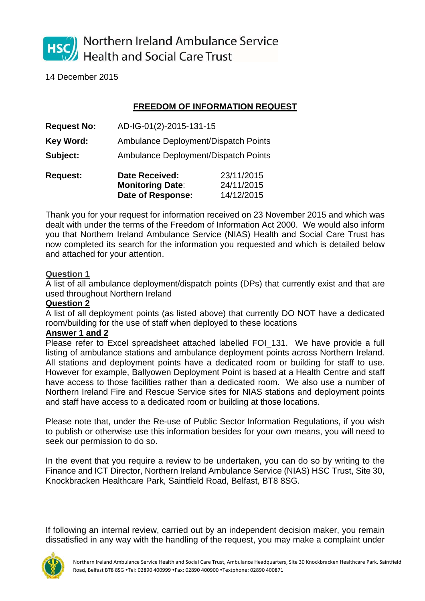

Northern Ireland Ambulance Service **Health and Social Care Trust** 

14 December 2015

## **FREEDOM OF INFORMATION REQUEST**

| <b>Request No:</b> | AD-IG-01(2)-2015-131-15                          |                          |  |
|--------------------|--------------------------------------------------|--------------------------|--|
| Key Word:          | Ambulance Deployment/Dispatch Points             |                          |  |
| Subject:           | <b>Ambulance Deployment/Dispatch Points</b>      |                          |  |
| <b>Request:</b>    | <b>Date Received:</b><br><b>Monitoring Date:</b> | 23/11/2015<br>24/11/2015 |  |

 **Date of Response:** 14/12/2015

Thank you for your request for information received on 23 November 2015 and which was dealt with under the terms of the Freedom of Information Act 2000. We would also inform you that Northern Ireland Ambulance Service (NIAS) Health and Social Care Trust has now completed its search for the information you requested and which is detailed below and attached for your attention.

## **Question 1**

A list of all ambulance deployment/dispatch points (DPs) that currently exist and that are used throughout Northern Ireland

## **Question 2**

A list of all deployment points (as listed above) that currently DO NOT have a dedicated room/building for the use of staff when deployed to these locations

## **Answer 1 and 2**

Please refer to Excel spreadsheet attached labelled FOI\_131. We have provide a full listing of ambulance stations and ambulance deployment points across Northern Ireland. All stations and deployment points have a dedicated room or building for staff to use. However for example, Ballyowen Deployment Point is based at a Health Centre and staff have access to those facilities rather than a dedicated room. We also use a number of Northern Ireland Fire and Rescue Service sites for NIAS stations and deployment points and staff have access to a dedicated room or building at those locations.

Please note that, under the Re-use of Public Sector Information Regulations, if you wish to publish or otherwise use this information besides for your own means, you will need to seek our permission to do so.

In the event that you require a review to be undertaken, you can do so by writing to the Finance and ICT Director, Northern Ireland Ambulance Service (NIAS) HSC Trust, Site 30, Knockbracken Healthcare Park, Saintfield Road, Belfast, BT8 8SG.

If following an internal review, carried out by an independent decision maker, you remain dissatisfied in any way with the handling of the request, you may make a complaint under

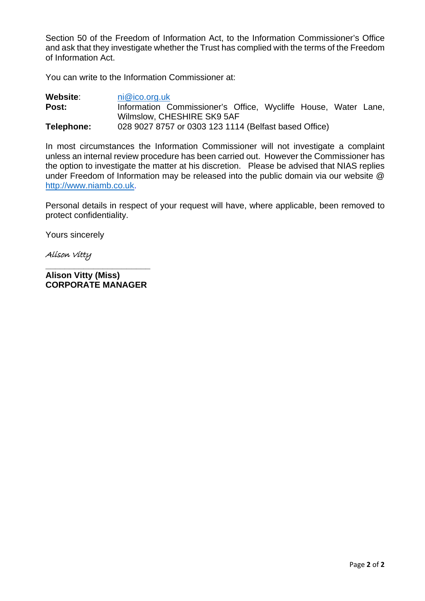Section 50 of the Freedom of Information Act, to the Information Commissioner's Office and ask that they investigate whether the Trust has complied with the terms of the Freedom of Information Act.

You can write to the Information Commissioner at:

| Website:   | ni@ico.org.uk                                                                                |
|------------|----------------------------------------------------------------------------------------------|
| Post:      | Information Commissioner's Office, Wycliffe House, Water Lane,<br>Wilmslow, CHESHIRE SK9 5AF |
|            |                                                                                              |
| Telephone: | 028 9027 8757 or 0303 123 1114 (Belfast based Office)                                        |

In most circumstances the Information Commissioner will not investigate a complaint unless an internal review procedure has been carried out. However the Commissioner has the option to investigate the matter at his discretion. Please be advised that NIAS replies under Freedom of Information may be released into the public domain via our website @ http://www.niamb.co.uk.

Personal details in respect of your request will have, where applicable, been removed to protect confidentiality.

Yours sincerely

Alison Vitty

**Alison Vitty (Miss) CORPORATE MANAGER** 

**\_\_\_\_\_\_\_\_\_\_\_\_\_\_\_\_\_\_\_\_\_\_**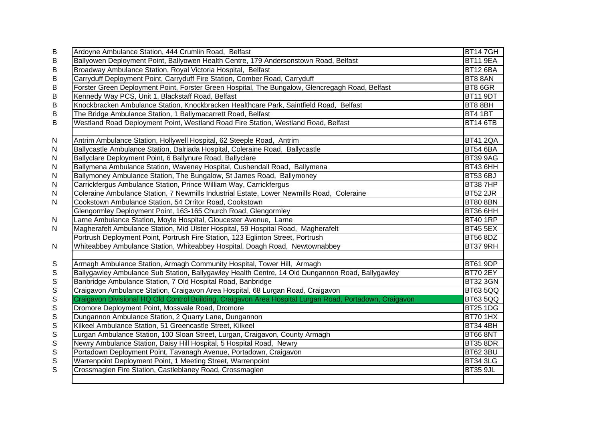| B             | Ardoyne Ambulance Station, 444 Crumlin Road, Belfast                                                    | <b>BT147GH</b>  |
|---------------|---------------------------------------------------------------------------------------------------------|-----------------|
| B             | Ballyowen Deployment Point, Ballyowen Health Centre, 179 Andersonstown Road, Belfast                    | <b>BT11 9EA</b> |
| B             | Broadway Ambulance Station, Royal Victoria Hospital, Belfast                                            | <b>BT12 6BA</b> |
| $\sf B$       | Carryduff Deployment Point, Carryduff Fire Station, Comber Road, Carryduff                              | BT8 8AN         |
| $\sf B$       | Forster Green Deployment Point, Forster Green Hospital, The Bungalow, Glencregagh Road, Belfast         | BT8 6GR         |
| $\sf B$       | Kennedy Way PCS, Unit 1, Blackstaff Road, Belfast                                                       | <b>BT11 9DT</b> |
| $\sf B$       | Knockbracken Ambulance Station, Knockbracken Healthcare Park, Saintfield Road, Belfast                  | BT8 8BH         |
| $\sf B$       | The Bridge Ambulance Station, 1 Ballymacarrett Road, Belfast                                            | <b>BT4 1BT</b>  |
| $\sf B$       | Westland Road Deployment Point, Westland Road Fire Station, Westland Road, Belfast                      | <b>BT14 6TB</b> |
|               |                                                                                                         |                 |
| $\mathsf{N}$  | Antrim Ambulance Station, Hollywell Hospital, 62 Steeple Road, Antrim                                   | <b>BT41 2QA</b> |
| N             | Ballycastle Ambulance Station, Dalriada Hospital, Coleraine Road, Ballycastle                           | <b>BT54 6BA</b> |
| $\mathsf{N}$  | Ballyclare Deployment Point, 6 Ballynure Road, Ballyclare                                               | <b>BT39 9AG</b> |
| ${\sf N}$     | Ballymena Ambulance Station, Waveney Hospital, Cushendall Road, Ballymena                               | BT43 6HH        |
| ${\sf N}$     | Ballymoney Ambulance Station, The Bungalow, St James Road, Ballymoney                                   | <b>BT53 6BJ</b> |
| ${\sf N}$     | Carrickfergus Ambulance Station, Prince William Way, Carrickfergus                                      | <b>BT387HP</b>  |
| ${\sf N}$     | Coleraine Ambulance Station, 7 Newmills Industrial Estate, Lower Newmills Road, Coleraine               | <b>BT52 2JR</b> |
| $\mathsf{N}$  | Cookstown Ambulance Station, 54 Orritor Road, Cookstown                                                 | <b>BT80 8BN</b> |
|               | Glengormley Deployment Point, 163-165 Church Road, Glengormley                                          | <b>BT36 6HH</b> |
| $\mathsf{N}$  | Larne Ambulance Station, Moyle Hospital, Gloucester Avenue, Larne                                       | <b>BT40 1RP</b> |
| $\mathsf{N}$  | Magherafelt Ambulance Station, Mid Ulster Hospital, 59 Hospital Road, Magherafelt                       | <b>BT45 5EX</b> |
|               | Portrush Deployment Point, Portrush Fire Station, 123 Eglinton Street, Portrush                         | <b>BT56 8DZ</b> |
| $\mathsf{N}$  | Whiteabbey Ambulance Station, Whiteabbey Hospital, Doagh Road, Newtownabbey                             | BT37 9RH        |
|               |                                                                                                         |                 |
| ${\mathsf S}$ | Armagh Ambulance Station, Armagh Community Hospital, Tower Hill, Armagh                                 | BT61 9DP        |
| $\mathbb S$   | Ballygawley Ambulance Sub Station, Ballygawley Health Centre, 14 Old Dungannon Road, Ballygawley        | <b>BT70 2EY</b> |
| $\mathbb S$   | Banbridge Ambulance Station, 7 Old Hospital Road, Banbridge                                             | <b>BT32 3GN</b> |
| $\mathsf S$   | Craigavon Ambulance Station, Craigavon Area Hospital, 68 Lurgan Road, Craigavon                         | <b>BT63 5QQ</b> |
| $\mathbb S$   | Craigavon Divisional HQ Old Control Building, Craigavon Area Hospital Lurgan Road, Portadown, Craigavon | <b>BT63 5QQ</b> |
| $\mathsf S$   | Dromore Deployment Point, Mossvale Road, Dromore                                                        | <b>BT25 1DG</b> |
| $\mathsf S$   | Dungannon Ambulance Station, 2 Quarry Lane, Dungannon                                                   | <b>BT70 1HX</b> |
| $\mathsf S$   | Kilkeel Ambulance Station, 51 Greencastle Street, Kilkeel                                               | <b>BT34 4BH</b> |
| $\mathbb S$   | Lurgan Ambulance Station, 100 Sloan Street, Lurgan, Craigavon, County Armagh                            | <b>BT66 8NT</b> |
| $\mathsf S$   | Newry Ambulance Station, Daisy Hill Hospital, 5 Hospital Road, Newry                                    | <b>BT35 8DR</b> |
| $\mathsf S$   | Portadown Deployment Point, Tavanagh Avenue, Portadown, Craigavon                                       | <b>BT62 3BU</b> |
| $\mathsf S$   | Warrenpoint Deployment Point, 1 Meeting Street, Warrenpoint                                             | <b>BT34 3LG</b> |
| $\mathsf S$   | Crossmaglen Fire Station, Castleblaney Road, Crossmaglen                                                | <b>BT35 9JL</b> |
|               |                                                                                                         |                 |